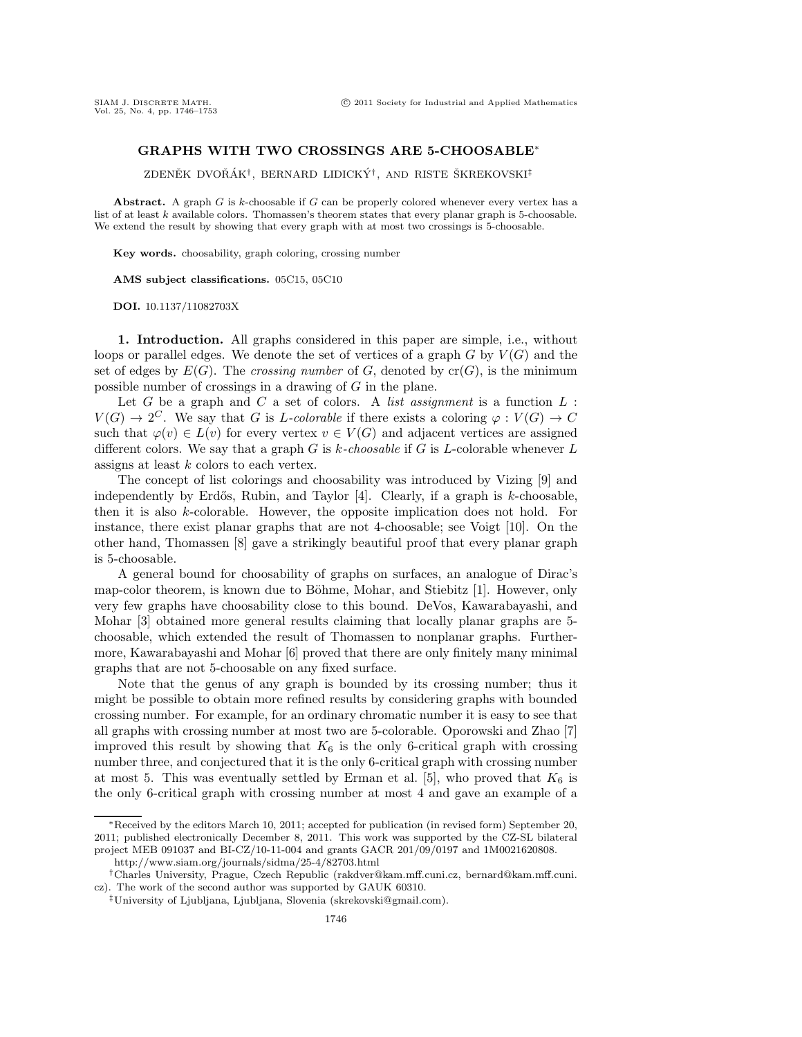## **GRAPHS WITH TWO CROSSINGS ARE 5-CHOOSABLE**∗

ZDENĚK DVOŘÁK<sup>†</sup>, BERNARD LIDICKÝ<sup>†</sup>, AND RISTE ŠKREKOVSKI<sup>‡</sup>

**Abstract.** A graph *G* is *k*-choosable if *G* can be properly colored whenever every vertex has a list of at least *k* available colors. Thomassen's theorem states that every planar graph is 5-choosable. We extend the result by showing that every graph with at most two crossings is 5-choosable.

**Key words.** choosability, graph coloring, crossing number

**AMS subject classifications.** 05C15, 05C10

**DOI.** 10.1137/11082703X

**1. Introduction.** All graphs considered in this paper are simple, i.e., without loops or parallel edges. We denote the set of vertices of a graph  $G$  by  $V(G)$  and the set of edges by  $E(G)$ . The *crossing number* of G, denoted by  $cr(G)$ , is the minimum possible number of crossings in a drawing of G in the plane.

Let  $G$  be a graph and  $C$  a set of colors. A *list assignment* is a function  $L$ :  $V(G) \to 2^C$ . We say that G is L-colorable if there exists a coloring  $\varphi : V(G) \to C$ such that  $\varphi(v) \in L(v)$  for every vertex  $v \in V(G)$  and adjacent vertices are assigned different colors. We say that a graph G is k*-choosable* if G is L-colorable whenever L assigns at least k colors to each vertex.

The concept of list colorings and choosability was introduced by Vizing [9] and independently by Erdős, Rubin, and Taylor  $[4]$ . Clearly, if a graph is k-choosable, then it is also k-colorable. However, the opposite implication does not hold. For instance, there exist planar graphs that are not 4-choosable; see Voigt [10]. On the other hand, Thomassen [8] gave a strikingly beautiful proof that every planar graph is 5-choosable.

A general bound for choosability of graphs on surfaces, an analogue of Dirac's map-color theorem, is known due to Böhme, Mohar, and Stiebitz [1]. However, only very few graphs have choosability close to this bound. DeVos, Kawarabayashi, and Mohar [3] obtained more general results claiming that locally planar graphs are 5 choosable, which extended the result of Thomassen to nonplanar graphs. Furthermore, Kawarabayashi and Mohar [6] proved that there are only finitely many minimal graphs that are not 5-choosable on any fixed surface.

Note that the genus of any graph is bounded by its crossing number; thus it might be possible to obtain more refined results by considering graphs with bounded crossing number. For example, for an ordinary chromatic number it is easy to see that all graphs with crossing number at most two are 5-colorable. Oporowski and Zhao [7] improved this result by showing that  $K_6$  is the only 6-critical graph with crossing number three, and conjectured that it is the only 6-critical graph with crossing number at most 5. This was eventually settled by Erman et al. [5], who proved that  $K_6$  is the only 6-critical graph with crossing number at most 4 and gave an example of a

<sup>∗</sup>Received by the editors March 10, 2011; accepted for publication (in revised form) September 20, 2011; published electronically December 8, 2011. This work was supported by the CZ-SL bilateral project MEB 091037 and BI-CZ/10-11-004 and grants GACR 201/09/0197 and 1M0021620808.

http://www.siam.org/journals/sidma/25-4/82703.html

<sup>†</sup>Charles University, Prague, Czech Republic (rakdver@kam.mff.cuni.cz, bernard@kam.mff.cuni. cz). The work of the second author was supported by GAUK 60310.

<sup>‡</sup>University of Ljubljana, Ljubljana, Slovenia (skrekovski@gmail.com).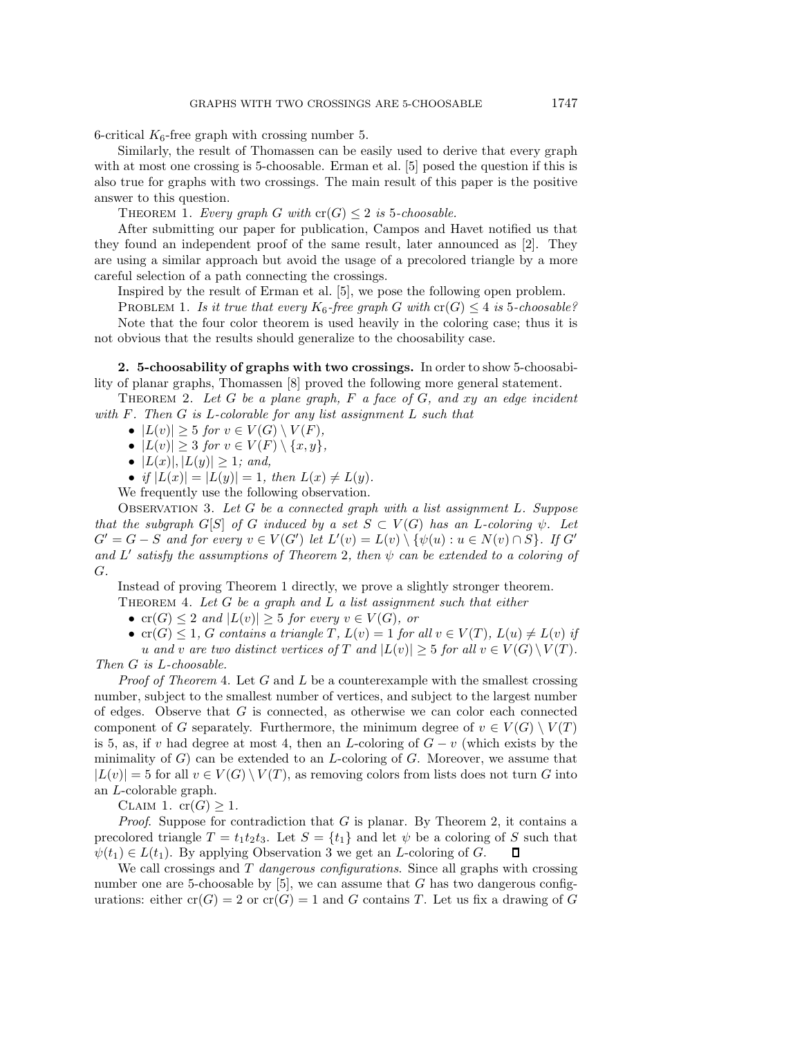6-critical  $K_6$ -free graph with crossing number 5.

Similarly, the result of Thomassen can be easily used to derive that every graph with at most one crossing is 5-choosable. Erman et al. [5] posed the question if this is also true for graphs with two crossings. The main result of this paper is the positive answer to this question.

THEOREM 1. *Every graph* G with  $cr(G) \leq 2$  is 5*-choosable.* 

After submitting our paper for publication, Campos and Havet notified us that they found an independent proof of the same result, later announced as [2]. They are using a similar approach but avoid the usage of a precolored triangle by a more careful selection of a path connecting the crossings.

Inspired by the result of Erman et al. [5], we pose the following open problem.

PROBLEM 1. *Is it true that every*  $K_6$ -free graph G with  $cr(G) \leq 4$  is 5-choosable? Note that the four color theorem is used heavily in the coloring case; thus it is not obvious that the results should generalize to the choosability case.

**2. 5-choosability of graphs with two crossings.** In order to show 5-choosability of planar graphs, Thomassen [8] proved the following more general statement.

Theorem 2. *Let* G *be a plane graph,* F *a face of* G*, and* xy *an edge incident with* F*. Then* G *is* L*-colorable for any list assignment* L *such that*

- $|L(v)| \geq 5$  *for*  $v \in V(G) \setminus V(F)$ ,
- $|L(v)| \geq 3$  *for*  $v \in V(F) \setminus \{x, y\},$
- $|L(x)|, |L(y)| \geq 1$ *; and,*

• *if*  $|L(x)| = |L(y)| = 1$ *, then*  $L(x) \neq L(y)$ *.* 

We frequently use the following observation.

Observation 3. *Let* G *be a connected graph with a list assignment* L*. Suppose that the subgraph*  $G[S]$  *of* G *induced by a set*  $S \subset V(G)$  *has an* L-coloring  $\psi$ . Let  $G' = G - S$  and for every  $v \in V(G')$  let  $L'(v) = L(v) \setminus \{\psi(u) : u \in N(v) \cap S\}$ . If  $G'$ <br>and  $L'$  satisfy the assumptions of Theorem 2, then  $\psi$  can be extended to a coloring of and  $L'$  satisfy the assumptions of Theorem 2, then  $\psi$  can be extended to a coloring of G*.*

Instead of proving Theorem 1 directly, we prove a slightly stronger theorem.

Theorem 4. *Let* G *be a graph and* L *a list assignment such that either*

- $\text{cr}(G) \leq 2$  *and*  $|L(v)| \geq 5$  *for every*  $v \in V(G)$ *, or*
- $\text{cr}(G) \leq 1$ , G contains a triangle T,  $L(v) = 1$  for all  $v \in V(T)$ ,  $L(u) \neq L(v)$  if
- u and v are two distinct vertices of T and  $|L(v)| \geq 5$  for all  $v \in V(G) \setminus V(T)$ *.*

*Then* G *is* L*-choosable.*

*Proof of Theorem* 4. Let G and L be a counterexample with the smallest crossing number, subject to the smallest number of vertices, and subject to the largest number of edges. Observe that  $G$  is connected, as otherwise we can color each connected component of G separately. Furthermore, the minimum degree of  $v \in V(G) \setminus V(T)$ is 5, as, if v had degree at most 4, then an L-coloring of  $G - v$  (which exists by the minimality of  $G$ ) can be extended to an *L*-coloring of  $G$ . Moreover, we assume that  $|L(v)| = 5$  for all  $v \in V(G) \setminus V(T)$ , as removing colors from lists does not turn G into an L-colorable graph.

CLAIM 1.  $cr(G) \geq 1$ .

*Proof*. Suppose for contradiction that G is planar. By Theorem 2, it contains a precolored triangle  $T = t_1 t_2 t_3$ . Let  $S = \{t_1\}$  and let  $\psi$  be a coloring of S such that  $\psi(t_1) \in L(t_1)$ . By applying Observation 3 we get an L-coloring of G.  $\psi(t_1) \in L(t_1)$ . By applying Observation 3 we get an *L*-coloring of *G*.

We call crossings and T *dangerous configurations*. Since all graphs with crossing number one are 5-choosable by  $[5]$ , we can assume that G has two dangerous configurations: either  $cr(G) = 2$  or  $cr(G) = 1$  and G contains T. Let us fix a drawing of G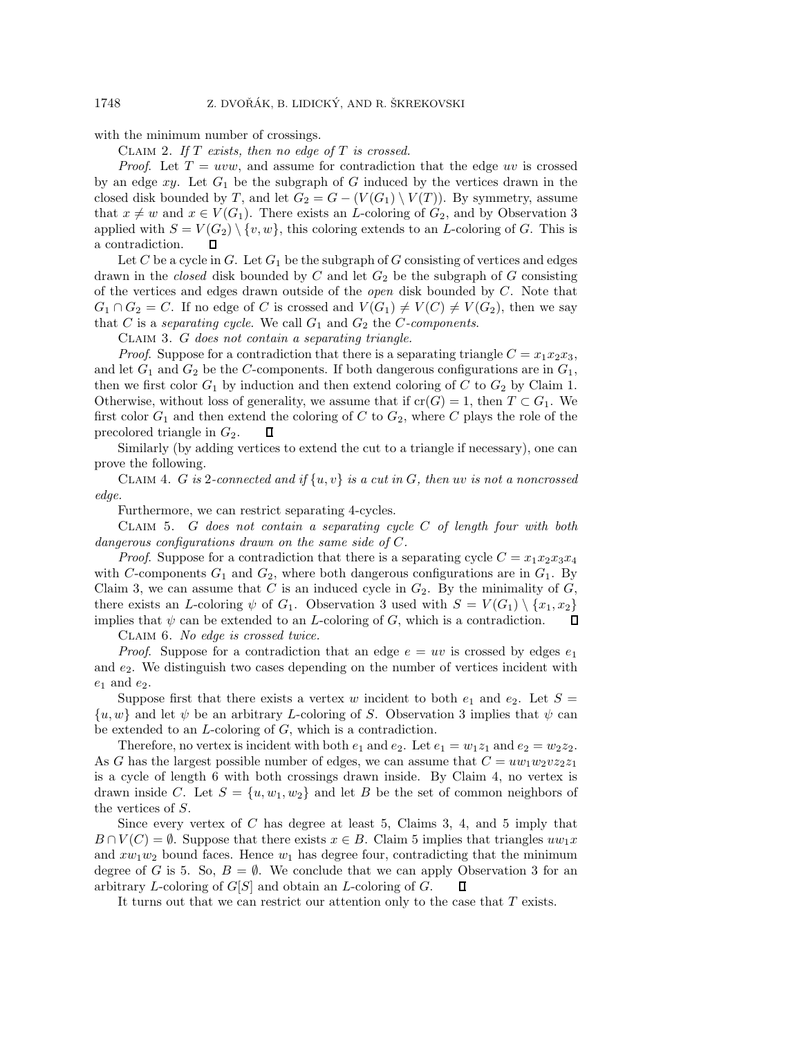with the minimum number of crossings.

Claim 2. *If* T *exists, then no edge of* T *is crossed.*

*Proof.* Let  $T = uvw$ , and assume for contradiction that the edge uv is crossed by an edge  $xy$ . Let  $G_1$  be the subgraph of G induced by the vertices drawn in the closed disk bounded by T, and let  $G_2 = G - (V(G_1) \setminus V(T))$ . By symmetry, assume that  $x \neq w$  and  $x \in V(G_1)$ . There exists an L-coloring of  $G_2$ , and by Observation 3 applied with  $S = V(G_2) \setminus \{v, w\}$ , this coloring extends to an *L*-coloring of *G*. This is a contradiction. a contradiction.

Let C be a cycle in G. Let  $G_1$  be the subgraph of G consisting of vertices and edges drawn in the *closed* disk bounded by  $C$  and let  $G_2$  be the subgraph of  $G$  consisting of the vertices and edges drawn outside of the *open* disk bounded by C. Note that  $G_1 \cap G_2 = C$ . If no edge of C is crossed and  $V(G_1) \neq V(C) \neq V(G_2)$ , then we say that  $C$  is a *separating cycle*. We call  $G_1$  and  $G_2$  the  $C$ -components.

Claim 3. G *does not contain a separating triangle.*

*Proof.* Suppose for a contradiction that there is a separating triangle  $C = x_1x_2x_3$ , and let  $G_1$  and  $G_2$  be the C-components. If both dangerous configurations are in  $G_1$ , then we first color  $G_1$  by induction and then extend coloring of C to  $G_2$  by Claim 1. Otherwise, without loss of generality, we assume that if  $cr(G) = 1$ , then  $T \subset G_1$ . We first color  $G_1$  and then extend the coloring of C to  $G_2$ , where C plays the role of the precolored triangle in  $G_2$ . precolored triangle in  $G_2$ .

Similarly (by adding vertices to extend the cut to a triangle if necessary), one can prove the following.

Claim 4. G *is* <sup>2</sup>*-connected and if* {u, v} *is a cut in* G*, then* uv *is not a noncrossed edge.*

Furthermore, we can restrict separating 4-cycles.

Claim 5. G *does not contain a separating cycle* C *of length four with both dangerous configurations drawn on the same side of* C*.*

*Proof.* Suppose for a contradiction that there is a separating cycle  $C = x_1x_2x_3x_4$ with C-components  $G_1$  and  $G_2$ , where both dangerous configurations are in  $G_1$ . By Claim 3, we can assume that C is an induced cycle in  $G_2$ . By the minimality of  $G$ , there exists an *L*-coloring  $\psi$  of  $G_1$ . Observation 3 used with  $S = V(G_1) \setminus \{x_1, x_2\}$ <br>implies that  $\psi$  can be extended to an *L*-coloring of *G*, which is a contradiction. implies that  $\psi$  can be extended to an *L*-coloring of *G*, which is a contradiction.

Claim 6. *No edge is crossed twice.*

*Proof.* Suppose for a contradiction that an edge  $e = uv$  is crossed by edges  $e_1$ and  $e_2$ . We distinguish two cases depending on the number of vertices incident with  $e_1$  and  $e_2$ .

Suppose first that there exists a vertex w incident to both  $e_1$  and  $e_2$ . Let  $S =$  $\{u, w\}$  and let  $\psi$  be an arbitrary L-coloring of S. Observation 3 implies that  $\psi$  can be extended to an  $L$ -coloring of  $G$ , which is a contradiction.

Therefore, no vertex is incident with both  $e_1$  and  $e_2$ . Let  $e_1 = w_1 z_1$  and  $e_2 = w_2 z_2$ . As G has the largest possible number of edges, we can assume that  $C = uw_1w_2v_{2z_1}$ is a cycle of length 6 with both crossings drawn inside. By Claim 4, no vertex is drawn inside C. Let  $S = \{u, w_1, w_2\}$  and let B be the set of common neighbors of the vertices of S.

Since every vertex of  $C$  has degree at least 5, Claims 3, 4, and 5 imply that  $B \cap V(C) = \emptyset$ . Suppose that there exists  $x \in B$ . Claim 5 implies that triangles  $uw_1x$ and  $xw_1w_2$  bound faces. Hence  $w_1$  has degree four, contradicting that the minimum degree of G is 5. So,  $B = \emptyset$ . We conclude that we can apply Observation 3 for an arbitrary L-coloring of G[S] and obtain an L-coloring of G. arbitrary L-coloring of  $G[S]$  and obtain an L-coloring of  $G$ .

It turns out that we can restrict our attention only to the case that  $T$  exists.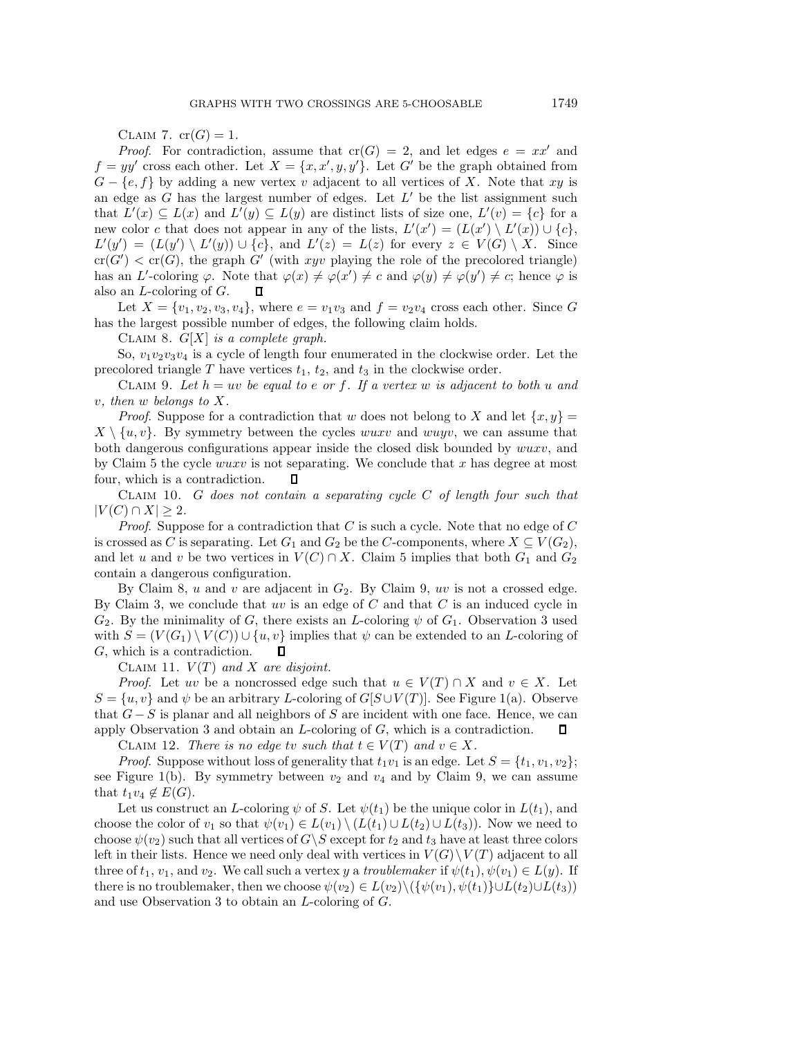CLAIM 7.  $cr(G)=1$ .

*Proof.* For contradiction, assume that  $cr(G) = 2$ , and let edges  $e = xx'$  and  $f = yy'$  cross each other. Let  $X = \{x, x', y, y'\}$ . Let G' be the graph obtained from  $G = \{e, f\}$  by adding a new vertex *u* adjacent to all vertices of X. Note that *xu* is  $G - \{e, f\}$  by adding a new vertex v adjacent to all vertices of X. Note that xy is an edge as  $G$  has the largest number of edges. Let  $L'$  be the list assignment such that  $L'(x) \subseteq L(x)$  and  $L'(y) \subseteq L(y)$  are distinct lists of size one,  $L'(v) = \{c\}$  for a<br>new color c that does not appear in any of the lists  $L'(x') = (L(x')) \ L'(x) + L(x)$ new color c that does not appear in any of the lists,  $L'(x') = (L(x') \setminus L'(x)) \cup \{c\}$ ,<br> $L'(x') = (L(x') \setminus L'(x)) \cup \{c\}$  and  $L'(x) = L(x)$  for every  $z \in L'(G) \setminus X$ . Since  $L'(y') = (L(y') \setminus L'(y)) \cup \{c\}$ , and  $L'(z) = L(z)$  for every  $z \in V(G) \setminus X$ . Since  $cr(C') < cr(C)$  the graph  $C'$  (with give playing the role of the precedent triangle)  $cr(G') < cr(G)$ , the graph G' (with xyv playing the role of the precolored triangle)<br>has an  $L'$ -coloring  $\varnothing$ . Note that  $\varnothing(x) \neq \varnothing(x') \neq \varnothing$  and  $\varnothing(x) \neq \varnothing(x') \neq \varnothing$  hence  $\varnothing$  is has an L'-coloring  $\varphi$ . Note that  $\varphi(x) \neq \varphi(x') \neq c$  and  $\varphi(y) \neq \varphi(y') \neq c$ ; hence  $\varphi$  is also an L-coloring of  $G$ also an L-coloring of G.

Let  $X = \{v_1, v_2, v_3, v_4\}$ , where  $e = v_1v_3$  and  $f = v_2v_4$  cross each other. Since G has the largest possible number of edges, the following claim holds.

CLAIM 8.  $G[X]$  *is a complete graph.* 

So,  $v_1v_2v_3v_4$  is a cycle of length four enumerated in the clockwise order. Let the precolored triangle  $T$  have vertices  $t_1$ ,  $t_2$ , and  $t_3$  in the clockwise order.

CLAIM 9. Let  $h = uv$  be equal to e or f. If a vertex w is adjacent to both u and v*, then* w *belongs to* X*.*

*Proof.* Suppose for a contradiction that w does not belong to X and let  $\{x, y\} =$  $X \setminus \{u, v\}$ . By symmetry between the cycles wuxv and wuyv, we can assume that both dangerous configurations appear inside the closed disk bounded by wuxv, and by Claim 5 the cycle *wuxv* is not separating. We conclude that x has degree at most four, which is a contradiction.  $\Box$ four, which is a contradiction.

Claim 10. G *does not contain a separating cycle* C *of length four such that*  $|V(C) \cap X| \geq 2$ .

*Proof*. Suppose for a contradiction that C is such a cycle. Note that no edge of C is crossed as C is separating. Let  $G_1$  and  $G_2$  be the C-components, where  $X \subseteq V(G_2)$ , and let u and v be two vertices in  $V(C) \cap X$ . Claim 5 implies that both  $G_1$  and  $G_2$ contain a dangerous configuration.

By Claim 8,  $u$  and  $v$  are adjacent in  $G_2$ . By Claim 9,  $uv$  is not a crossed edge. By Claim 3, we conclude that  $uv$  is an edge of  $C$  and that  $C$  is an induced cycle in  $G_2$ . By the minimality of G, there exists an L-coloring  $\psi$  of  $G_1$ . Observation 3 used with  $S = (V(G_1) \setminus V(C)) \cup \{u, v\}$  implies that  $\psi$  can be extended to an *L*-coloring of G, which is a contradiction. G, which is a contradiction.

CLAIM 11.  $V(T)$  and X are disjoint.

*Proof.* Let uv be a noncrossed edge such that  $u \in V(T) \cap X$  and  $v \in X$ . Let  $S = \{u, v\}$  and  $\psi$  be an arbitrary L-coloring of  $G[S \cup V(T)]$ . See Figure 1(a). Observe that  $G-S$  is planar and all neighbors of S are incident with one face. Hence, we can<br>apply Observation 3 and obtain an L-coloring of G, which is a contradiction.  $\Box$ apply Observation 3 and obtain an  $L$ -coloring of  $G$ , which is a contradiction.

CLAIM 12. *There is no edge tv such that*  $t \in V(T)$  *and*  $v \in X$ .

*Proof.* Suppose without loss of generality that  $t_1v_1$  is an edge. Let  $S = \{t_1, v_1, v_2\}$ ; see Figure 1(b). By symmetry between  $v_2$  and  $v_4$  and by Claim 9, we can assume that  $t_1v_4 \notin E(G)$ .

Let us construct an L-coloring  $\psi$  of S. Let  $\psi(t_1)$  be the unique color in  $L(t_1)$ , and choose the color of  $v_1$  so that  $\psi(v_1) \in L(v_1) \setminus (L(t_1) \cup L(t_2) \cup L(t_3))$ . Now we need to choose  $\psi(v_2)$  such that all vertices of  $G\backslash S$  except for  $t_2$  and  $t_3$  have at least three colors left in their lists. Hence we need only deal with vertices in  $V(G) \setminus V(T)$  adjacent to all three of  $t_1, v_1$ , and  $v_2$ . We call such a vertex y a *troublemaker* if  $\psi(t_1), \psi(v_1) \in L(y)$ . If there is no troublemaker, then we choose  $\psi(v_2) \in L(v_2) \setminus (\{\psi(v_1), \psi(t_1)\} \cup L(t_2) \cup L(t_3))$ and use Observation 3 to obtain an L-coloring of G.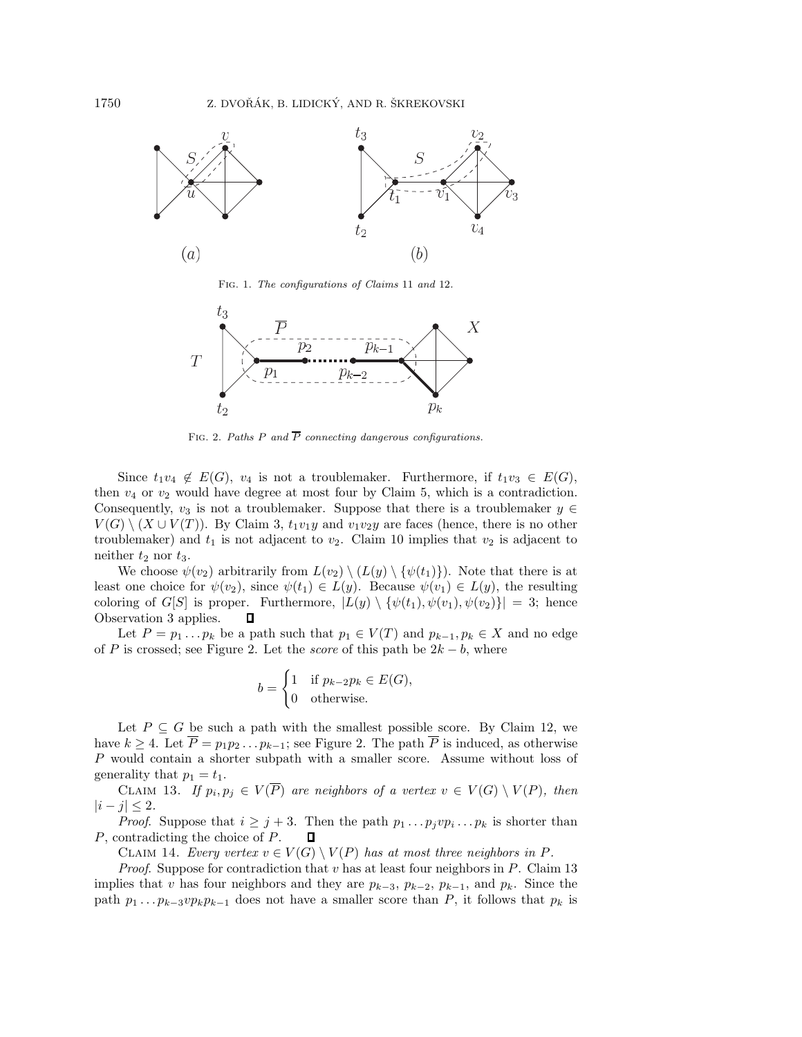

Fig. 1. *The configurations of Claims* 11 *and* 12*.*



FIG. 2. Paths  $P$  and  $\overline{P}$  connecting dangerous configurations.

Since  $t_1v_4 \notin E(G)$ ,  $v_4$  is not a troublemaker. Furthermore, if  $t_1v_3 \in E(G)$ , then  $v_4$  or  $v_2$  would have degree at most four by Claim 5, which is a contradiction. Consequently,  $v_3$  is not a troublemaker. Suppose that there is a troublemaker  $y \in$  $V(G) \setminus (X \cup V(T))$ . By Claim 3,  $t_1v_1y$  and  $v_1v_2y$  are faces (hence, there is no other troublemaker) and  $t_1$  is not adjacent to  $v_2$ . Claim 10 implies that  $v_2$  is adjacent to neither  $t_2$  nor  $t_3$ .

We choose  $\psi(v_2)$  arbitrarily from  $L(v_2) \setminus (L(y) \setminus {\psi(t_1)}).$  Note that there is at least one choice for  $\psi(v_2)$ , since  $\psi(t_1) \in L(y)$ . Because  $\psi(v_1) \in L(y)$ , the resulting coloring of  $G[S]$  is proper. Furthermore,  $|L(y) \setminus {\psi(t_1), \psi(v_1), \psi(v_2)}| = 3$ ; hence<br>Observation 3 applies.  $\Box$ Observation 3 applies.

Let  $P = p_1 \dots p_k$  be a path such that  $p_1 \in V(T)$  and  $p_{k-1}, p_k \in X$  and no edge of P is crossed; see Figure 2. Let the *score* of this path be  $2k - b$ , where

$$
b = \begin{cases} 1 & \text{if } p_{k-2}p_k \in E(G), \\ 0 & \text{otherwise.} \end{cases}
$$

Let  $P \subseteq G$  be such a path with the smallest possible score. By Claim 12, we have  $k \geq 4$ . Let  $\overline{P} = p_1 p_2 \dots p_{k-1}$ ; see Figure 2. The path  $\overline{P}$  is induced, as otherwise P would contain a shorter subpath with a smaller score. Assume without loss of generality that  $p_1 = t_1$ .

CLAIM 13. *If*  $p_i, p_j \in V(\overline{P})$  are neighbors of a vertex  $v \in V(G) \setminus V(P)$ , then  $|i - j|$  ≤ 2*.* 

*Proof.* Suppose that  $i \geq j + 3$ . Then the path  $p_1 \dots p_j v p_i \dots p_k$  is shorter than contradicting the choice of P.  $\Box$ P, contradicting the choice of P.

CLAIM 14. *Every vertex*  $v \in V(G) \setminus V(P)$  *has at most three neighbors in* P.

*Proof*. Suppose for contradiction that v has at least four neighbors in P. Claim 13 implies that v has four neighbors and they are  $p_{k-3}$ ,  $p_{k-2}$ ,  $p_{k-1}$ , and  $p_k$ . Since the path  $p_1 \tildes p_k - 3v p_k p_{k-1}$  does not have a smaller score than P, it follows that  $p_k$  is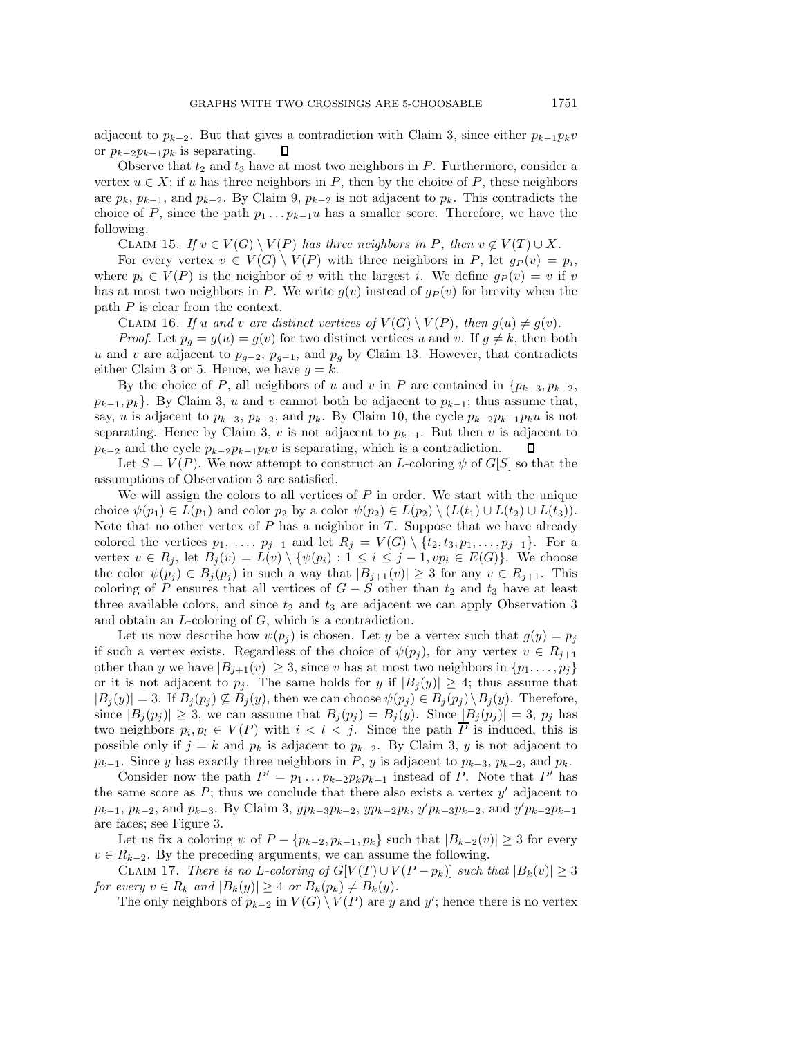adjacent to <sup>p</sup>*k*−2. But that gives a contradiction with Claim 3, since either <sup>p</sup>*k*−1p*k*<sup>v</sup> or  $p_{k-2}p_{k-1}p_k$  is separating.

Observe that  $t_2$  and  $t_3$  have at most two neighbors in P. Furthermore, consider a vertex  $u \in X$ ; if u has three neighbors in P, then by the choice of P, these neighbors are  $p_k$ ,  $p_{k-1}$ , and  $p_{k-2}$ . By Claim 9,  $p_{k-2}$  is not adjacent to  $p_k$ . This contradicts the choice of P, since the path  $p_1 \tildot p_{k-1}u$  has a smaller score. Therefore, we have the following.

CLAIM 15. *If*  $v \in V(G) \setminus V(P)$  *has three neighbors in* P, *then*  $v \notin V(T) \cup X$ *.* 

For every vertex  $v \in V(G) \setminus V(P)$  with three neighbors in P, let  $g_P(v) = p_i$ , where  $p_i \in V(P)$  is the neighbor of v with the largest i. We define  $q_P(v) = v$  if v has at most two neighbors in P. We write  $g(v)$  instead of  $g_P(v)$  for brevity when the path P is clear from the context.

CLAIM 16. *If* u and v are distinct vertices of  $V(G) \setminus V(P)$ , then  $g(u) \neq g(v)$ .

*Proof.* Let  $p_g = g(u) = g(v)$  for two distinct vertices u and v. If  $g \neq k$ , then both u and v are adjacent to  $p_{q-2}, p_{q-1}$ , and  $p_q$  by Claim 13. However, that contradicts either Claim 3 or 5. Hence, we have  $g = k$ .

By the choice of P, all neighbors of u and v in P are contained in  $\{p_{k-3}, p_{k-2},$  $p_{k-1}, p_k$ . By Claim 3, u and v cannot both be adjacent to  $p_{k-1}$ ; thus assume that, say, u is adjacent to  $p_{k-3}$ ,  $p_{k-2}$ , and  $p_k$ . By Claim 10, the cycle  $p_{k-2}p_{k-1}p_ku$  is not separating. Hence by Claim 3, v is not adjacent to  $p_{k-1}$ . But then v is adjacent to  $p_{k-2}$  and the cycle  $p_{k-2}p_{k-1}p_kv$  is separating, which is a contradiction.

Let  $S = V(P)$ . We now attempt to construct an L-coloring  $\psi$  of  $G[S]$  so that the assumptions of Observation 3 are satisfied.

We will assign the colors to all vertices of  $P$  in order. We start with the unique choice  $\psi(p_1) \in L(p_1)$  and color  $p_2$  by a color  $\psi(p_2) \in L(p_2) \setminus (L(t_1) \cup L(t_2) \cup L(t_3))$ . Note that no other vertex of  $P$  has a neighbor in  $T$ . Suppose that we have already colored the vertices  $p_1, \ldots, p_{j-1}$  and let  $R_j = V(G) \setminus \{t_2, t_3, p_1, \ldots, p_{j-1}\}.$  For a vertex  $v \in R_j$ , let  $B_j(v) = L(v) \setminus \{ \psi(p_i) : 1 \leq i \leq j-1, vp_i \in E(G) \}.$  We choose the color  $\psi(p_j) \in B_j(p_j)$  in such a way that  $|B_{j+1}(v)| \geq 3$  for any  $v \in R_{j+1}$ . This coloring of P ensures that all vertices of  $G - S$  other than  $t_2$  and  $t_3$  have at least three available colors, and since  $t_2$  and  $t_3$  are adjacent we can apply Observation 3 and obtain an L-coloring of G, which is a contradiction.

Let us now describe how  $\psi(p_j)$  is chosen. Let y be a vertex such that  $g(y) = p_j$ if such a vertex exists. Regardless of the choice of  $\psi(p_i)$ , for any vertex  $v \in R_{i+1}$ other than y we have  $|B_{j+1}(v)| \geq 3$ , since v has at most two neighbors in  $\{p_1, \ldots, p_j\}$ or it is not adjacent to  $p_j$ . The same holds for y if  $|B_j(y)| \geq 4$ ; thus assume that  $|B_j(y)| = 3$ . If  $B_j(p_j) \not\subseteq B_j(y)$ , then we can choose  $\psi(p_j) \in B_j(p_j) \setminus B_j(y)$ . Therefore, since  $|B_i(p_i)| \geq 3$ , we can assume that  $B_i(p_i) = B_i(y)$ . Since  $|B_i(p_i)| = 3$ ,  $p_i$  has two neighbors  $p_i, p_l \in V(P)$  with  $i < l < j$ . Since the path  $\overline{P}$  is induced, this is possible only if  $j = k$  and  $p_k$  is adjacent to  $p_{k-2}$ . By Claim 3, y is not adjacent to  $p_{k-1}$ . Since y has exactly three neighbors in P, y is adjacent to  $p_{k-3}$ ,  $p_{k-2}$ , and  $p_k$ .

Consider now the path  $P' = p_1 \dots p_{k-2} p_k p_{k-1}$  instead of P. Note that P' has the same score as  $P$ ; thus we conclude that there also exists a vertex  $y'$  adjacent to  $p_{k-1}, p_{k-2}, \text{ and } p_{k-3}.$  By Claim 3,  $yp_{k-3}p_{k-2}, yp_{k-2}p_k, y'p_{k-3}p_{k-2}, \text{ and } y'p_{k-2}p_{k-1}$ are faces; see Figure 3.

Let us fix a coloring  $\psi$  of  $P - \{p_{k-2}, p_{k-1}, p_k\}$  such that  $|B_{k-2}(v)| \geq 3$  for every  $v \in R_{k-2}$ . By the preceding arguments, we can assume the following.

CLAIM 17. *There is no L-coloring of*  $G[V(T) \cup V(P - p_k)]$  *such that*  $|B_k(v)| \geq 3$ *for every*  $v \in R_k$  *and*  $|B_k(y)| \geq 4$  *or*  $B_k(p_k) \neq B_k(y)$ *.* 

The only neighbors of  $p_{k-2}$  in  $V(G) \setminus V(P)$  are y and y'; hence there is no vertex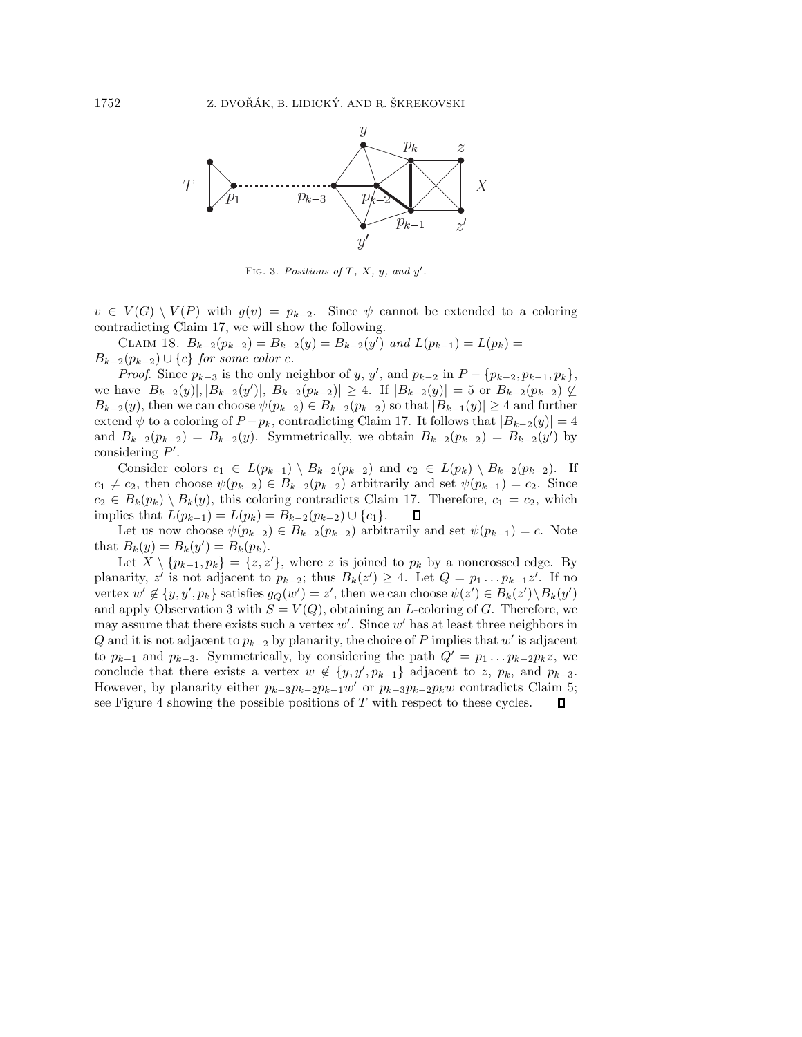

FIG. 3. Positions of  $T$ ,  $X$ ,  $y$ , and  $y'$ .

 $v \in V(G) \setminus V(P)$  with  $g(v) = p_{k-2}$ . Since  $\psi$  cannot be extended to a coloring contradicting Claim 17, we will show the following.

CLAIM 18.  $B_{k-2}(p_{k-2}) = B_{k-2}(y) = B_{k-2}(y')$  and  $L(p_{k-1}) = L(p_k) =$ <br>  $B_{k-1}(p_{k-1}) = B_{k-2}(y) = B_{k-2}(y')$  $B_{k-2}(p_{k-2}) \cup \{c\}$  *for some color* c.

*Proof.* Since  $p_{k-3}$  is the only neighbor of y, y', and  $p_{k-2}$  in  $P - \{p_{k-2}, p_{k-1}, p_k\}$ , pays  $|R_{k-2}(y)| |R_{k-2}(y)| |R_{k-3}(y)| > 4$ . If  $|R_{k-2}(y)| = 5$  or  $R_{k-2}(y) \le 0$ . we have  $|B_{k-2}(y)|, |B_{k-2}(y')|, |B_{k-2}(p_{k-2})| \ge 4$ . If  $|B_{k-2}(y)| = 5$  or  $B_{k-2}(p_{k-2}) \nsubseteq B_{k-2}(y)$ , then we can choose  $\psi(w, s) \in B_{k-2}(w, s)$  so that  $|B_{k-1}(y)| > 4$  and further  $B_{k-2}(y)$ , then we can choose  $\psi(p_{k-2}) \in B_{k-2}(p_{k-2})$  so that  $|B_{k-1}(y)| \geq 4$  and further extend  $\psi$  to a coloring of  $P - p_k$ , contradicting Claim 17. It follows that  $|B_{k-2}(y)| = 4$ and  $B_{k-2}(p_{k-2}) = B_{k-2}(y)$ . Symmetrically, we obtain  $B_{k-2}(p_{k-2}) = B_{k-2}(y')$  by considering  $P'$ considering P'.<br>Consider c

Consider colors  $c_1 \in L(p_{k-1}) \setminus B_{k-2}(p_{k-2})$  and  $c_2 \in L(p_k) \setminus B_{k-2}(p_{k-2})$ . If  $c_1 \neq c_2$ , then choose  $\psi(p_{k-2}) \in B_{k-2}(p_{k-2})$  arbitrarily and set  $\psi(p_{k-1}) = c_2$ . Since  $c_2 \in B_k(p_k) \setminus B_k(y)$ , this coloring contradicts Claim 17. Therefore,  $c_1 = c_2$ , which implies that  $L(p_{k-1}) = L(p_k) = B_{k-2}(p_{k-2}) \cup \{c_1\}$ . implies that  $L(p_{k-1}) = L(p_k) = B_{k-2}(p_{k-2}) \cup \{c_1\}.$ 

Let us now choose  $\psi(p_{k-2}) \in B_{k-2}(p_{k-2})$  arbitrarily and set  $\psi(p_{k-1}) = c$ . Note that  $B_k(y) = B_k(y') = B_k(p_k)$ .<br>Let  $X \setminus \{p_{k-1}, p_k\} = \{z \mid z \in$ 

Let  $X \setminus \{p_{k-1}, p_k\} = \{z, z'\}$ , where z is joined to  $p_k$  by a noncrossed edge. By planarity, z' is not adjacent to  $p_{k-2}$ ; thus  $B_k(z') \geq 4$ . Let  $Q = p_1 \dots p_{k-1} z'$ . If no<br>vertex  $w' \notin \{y, y' \mid n_k\}$  satisfies  $g_Q(w') = z'$  then we can choose  $\psi(z') \in B_k(z') \setminus B_k(w')$ vertex  $w' \notin \{y, y', p_k\}$  satisfies  $g_Q(w') = z'$ , then we can choose  $\psi(z') \in B_k(z') \setminus B_k(y')$ <br>and apply Observation 3 with  $S = V(\Omega)$  obtaining an L-coloring of G. Therefore, we and apply Observation 3 with  $S = V(Q)$ , obtaining an L-coloring of G. Therefore, we may assume that there exists such a vertex  $w'$ . Since  $w'$  has at least three neighbors in  $\Omega$  and it is not adiacent to  $v_{\text{L}}$ , as hypotenrity, the choice of  $P$  implies that  $w'$  is adiacent Q and it is not adjacent to  $p_{k-2}$  by planarity, the choice of P implies that w' is adjacent to  $p_{k-1}$  and  $p_{k-3}$ . Symmetrically, by considering the path  $Q' = p_1 \dots p_{k-2} p_k z$ , we conclude that there exists a vertex  $w \notin \{y, y', p_{k-1}\}$  adjacent to z,  $p_k$ , and  $p_{k-3}$ .<br>However, by planarity either  $p_{k-3}p_{k-3}p_{k-1}p''$  or  $p_{k-2}p_{k-2}p_{k-2}p_{k-1}p''$  contradicts Claim 5. However, by planarity either  $p_{k-3}p_{k-2}p_{k-1}w'$  or  $p_{k-3}p_{k-2}p_kw$  contradicts Claim 5; see Figure 4 showing the possible positions of T with respect to these cycles.  $\Box$ see Figure 4 showing the possible positions of  $T$  with respect to these cycles.